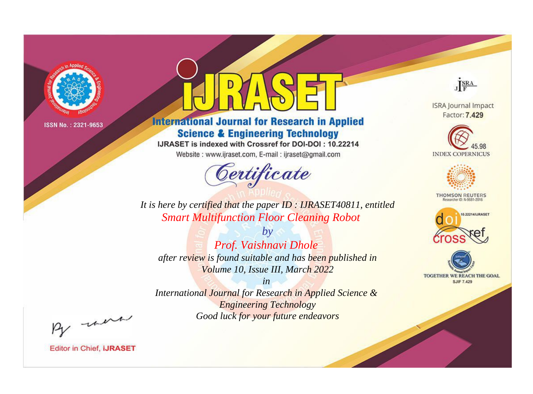

# **International Journal for Research in Applied Science & Engineering Technology**

IJRASET is indexed with Crossref for DOI-DOI: 10.22214

Website: www.ijraset.com, E-mail: ijraset@gmail.com



JERA

**ISRA Journal Impact** Factor: 7.429





**THOMSON REUTERS** 



TOGETHER WE REACH THE GOAL **SJIF 7.429** 

It is here by certified that the paper ID: IJRASET40811, entitled **Smart Multifunction Floor Cleaning Robot** 

 $by$ Prof. Vaishnavi Dhole after review is found suitable and has been published in Volume 10, Issue III, March 2022

 $in$ International Journal for Research in Applied Science & **Engineering Technology** Good luck for your future endeavors

By morn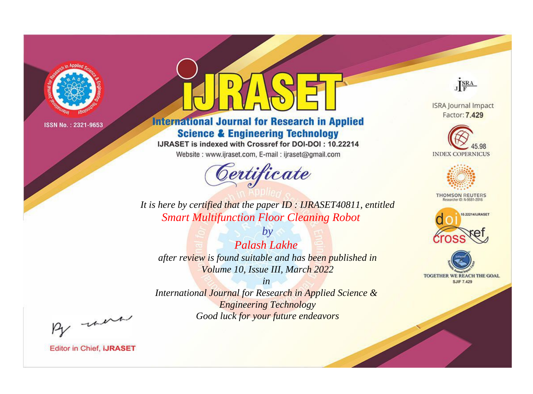

# **International Journal for Research in Applied Science & Engineering Technology**

IJRASET is indexed with Crossref for DOI-DOI: 10.22214

Website: www.ijraset.com, E-mail: ijraset@gmail.com



JERA

**ISRA Journal Impact** Factor: 7.429





**THOMSON REUTERS** 



TOGETHER WE REACH THE GOAL **SJIF 7.429** 

*It is here by certified that the paper ID : IJRASET40811, entitled Smart Multifunction Floor Cleaning Robot*

*by Palash Lakhe after review is found suitable and has been published in Volume 10, Issue III, March 2022*

*in* 

*International Journal for Research in Applied Science & Engineering Technology Good luck for your future endeavors*

By morn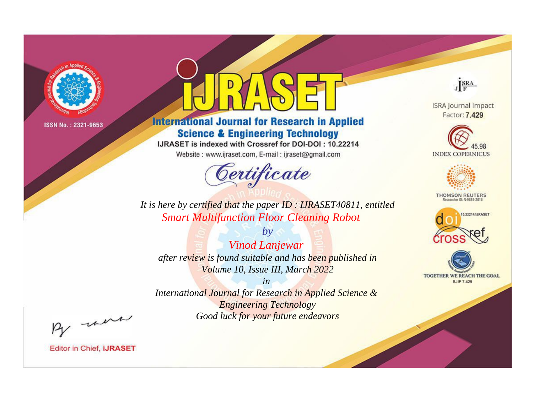

# **International Journal for Research in Applied Science & Engineering Technology**

IJRASET is indexed with Crossref for DOI-DOI: 10.22214

Website: www.ijraset.com, E-mail: ijraset@gmail.com



JERA

**ISRA Journal Impact** Factor: 7.429





**THOMSON REUTERS** 



TOGETHER WE REACH THE GOAL **SJIF 7.429** 

*It is here by certified that the paper ID : IJRASET40811, entitled Smart Multifunction Floor Cleaning Robot*

*by Vinod Lanjewar after review is found suitable and has been published in Volume 10, Issue III, March 2022*

*in* 

*International Journal for Research in Applied Science & Engineering Technology Good luck for your future endeavors*

By morn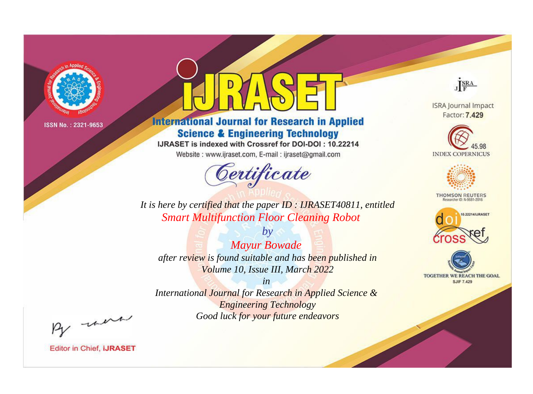

# **International Journal for Research in Applied Science & Engineering Technology**

IJRASET is indexed with Crossref for DOI-DOI: 10.22214

Website: www.ijraset.com, E-mail: ijraset@gmail.com



JERA

**ISRA Journal Impact** Factor: 7.429





**THOMSON REUTERS** 



TOGETHER WE REACH THE GOAL **SJIF 7.429** 

It is here by certified that the paper ID: IJRASET40811, entitled **Smart Multifunction Floor Cleaning Robot** 

**Mayur Bowade** after review is found suitable and has been published in Volume 10, Issue III, March 2022

 $by$ 

 $in$ International Journal for Research in Applied Science & **Engineering Technology** Good luck for your future endeavors

By morn